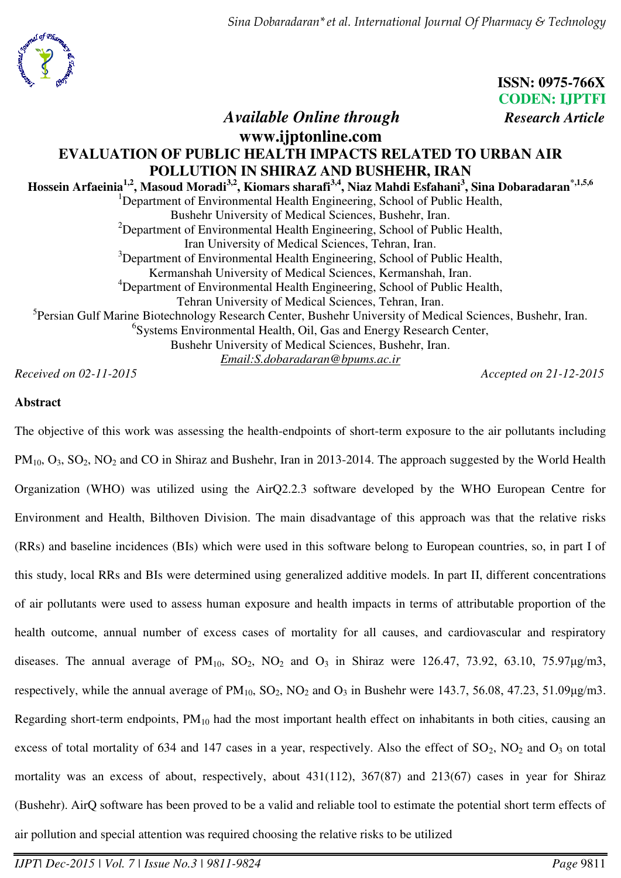*Sina Dobaradaran\*et al. International Journal Of Pharmacy & Technology*



**ISSN: 0975-766X CODEN: IJPTFI**

## *Available Online through Research Article* **www.ijptonline.com EVALUATION OF PUBLIC HEALTH IMPACTS RELATED TO URBAN AIR POLLUTION IN SHIRAZ AND BUSHEHR, IRAN Hossein Arfaeinia1,2, Masoud Moradi3,2 , Kiomars sharafi3,4, Niaz Mahdi Esfahani<sup>3</sup> , Sina Dobaradaran\*,1,5,6** <sup>1</sup>Department of Environmental Health Engineering, School of Public Health, Bushehr University of Medical Sciences, Bushehr, Iran.  $2D$  Department of Environmental Health Engineering, School of Public Health, Iran University of Medical Sciences, Tehran, Iran. <sup>3</sup>Department of Environmental Health Engineering, School of Public Health, Kermanshah University of Medical Sciences, Kermanshah, Iran. <sup>4</sup>Department of Environmental Health Engineering, School of Public Health, Tehran University of Medical Sciences, Tehran, Iran. <sup>5</sup>Persian Gulf Marine Biotechnology Research Center, Bushehr University of Medical Sciences, Bushehr, Iran. 6 Systems Environmental Health, Oil, Gas and Energy Research Center, Bushehr University of Medical Sciences, Bushehr, Iran. *Email[:S.dobaradaran@bpums.ac.ir](mailto:S.dobaradaran@bpums.ac.ir)*

*Received on 02-11-2015 Accepted on 21-12-2015*

## **Abstract**

The objective of this work was assessing the health-endpoints of short-term exposure to the air pollutants including PM<sub>10</sub>, O<sub>3</sub>, SO<sub>2</sub>, NO<sub>2</sub> and CO in Shiraz and Bushehr, Iran in 2013-2014. The approach suggested by the World Health Organization (WHO) was utilized using the AirQ2.2.3 software developed by the WHO European Centre for Environment and Health, Bilthoven Division. The main disadvantage of this approach was that the relative risks (RRs) and baseline incidences (BIs) which were used in this software belong to European countries, so, in part I of this study, local RRs and BIs were determined using generalized additive models. In part II, different concentrations of air pollutants were used to assess human exposure and health impacts in terms of attributable proportion of the health outcome, annual number of excess cases of mortality for all causes, and cardiovascular and respiratory diseases. The annual average of  $PM_{10}$ ,  $SO_2$ ,  $NO_2$  and  $O_3$  in Shiraz were 126.47, 73.92, 63.10, 75.97 $\mu$ g/m3, respectively, while the annual average of  $PM_{10}$ ,  $SO_2$ ,  $NO_2$  and  $O_3$  in Bushehr were 143.7, 56.08, 47.23, 51.09µg/m3. Regarding short-term endpoints,  $PM_{10}$  had the most important health effect on inhabitants in both cities, causing an excess of total mortality of 634 and 147 cases in a year, respectively. Also the effect of  $SO_2$ ,  $NO_2$  and  $O_3$  on total mortality was an excess of about, respectively, about 431(112), 367(87) and 213(67) cases in year for Shiraz (Bushehr). AirQ software has been proved to be a valid and reliable tool to estimate the potential short term effects of air pollution and special attention was required choosing the relative risks to be utilized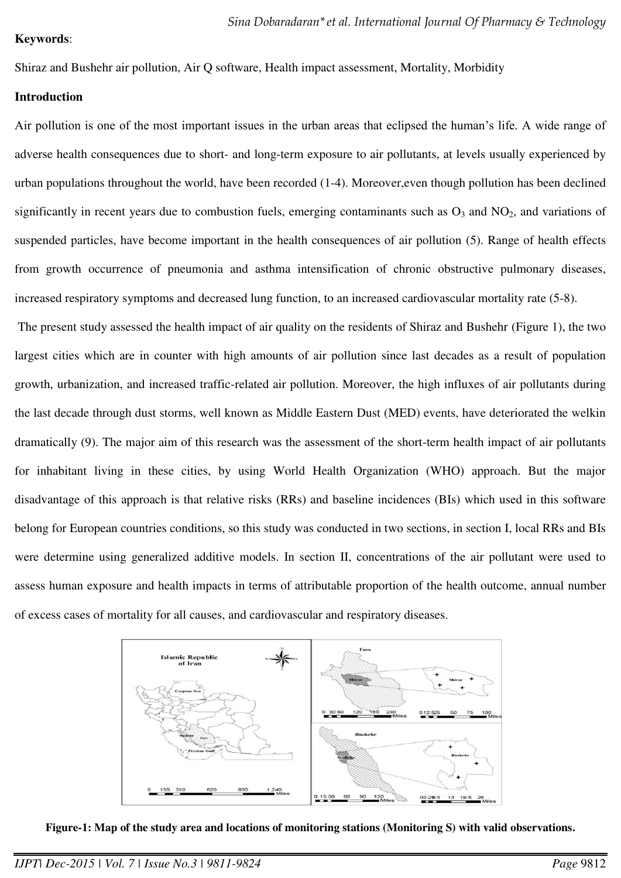Shiraz and Bushehr air pollution, Air Q software, Health impact assessment, Mortality, Morbidity

### **Introduction**

Air pollution is one of the most important issues in the urban areas that eclipsed the human's life. A wide range of adverse health consequences due to short- and long-term exposure to air pollutants, at levels usually experienced by urban populations throughout the world, have been recorded (1-4). Moreover,even though pollution has been declined significantly in recent years due to combustion fuels, emerging contaminants such as  $O_3$  and  $NO_2$ , and variations of suspended particles, have become important in the health consequences of air pollution (5). Range of health effects from growth occurrence of pneumonia and asthma intensification of chronic obstructive pulmonary diseases, increased respiratory symptoms and decreased lung function, to an increased cardiovascular mortality rate (5-8).

 The present study assessed the health impact of air quality on the residents of Shiraz and Bushehr (Figure 1), the two largest cities which are in counter with high amounts of air pollution since last decades as a result of population growth, urbanization, and increased traffic-related air pollution. Moreover, the high influxes of air pollutants during the last decade through dust storms, well known as Middle Eastern Dust (MED) events, have deteriorated the welkin dramatically (9). The major aim of this research was the assessment of the short-term health impact of air pollutants for inhabitant living in these cities, by using World Health Organization (WHO) approach. But the major disadvantage of this approach is that relative risks (RRs) and baseline incidences (BIs) which used in this software belong for European countries conditions, so this study was conducted in two sections, in section I, local RRs and BIs were determine using generalized additive models. In section II, concentrations of the air pollutant were used to assess human exposure and health impacts in terms of attributable proportion of the health outcome, annual number of excess cases of mortality for all causes, and cardiovascular and respiratory diseases.



**Figure-1: Map of the study area and locations of monitoring stations (Monitoring S) with valid observations.**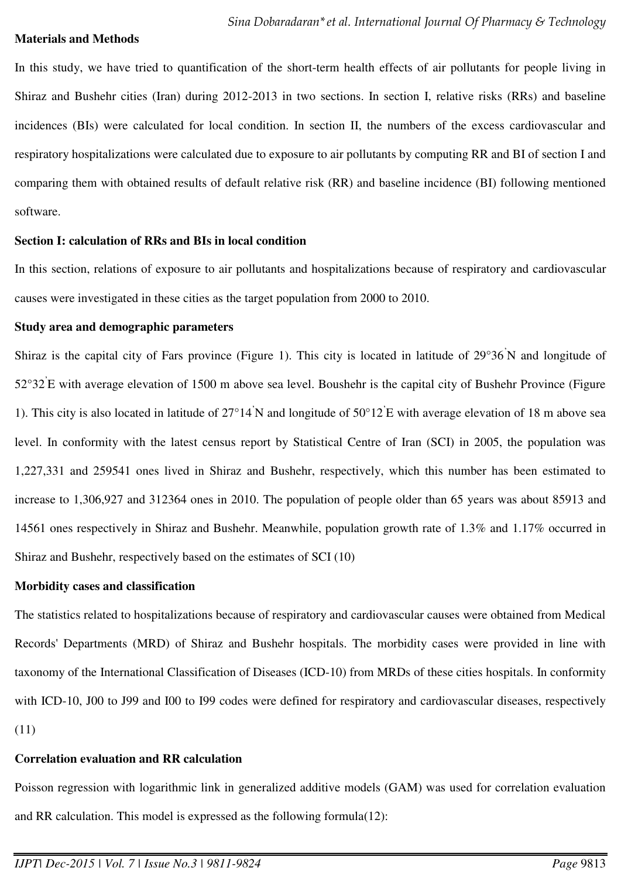#### **Materials and Methods**

In this study, we have tried to quantification of the short-term health effects of air pollutants for people living in Shiraz and Bushehr cities (Iran) during 2012-2013 in two sections. In section I, relative risks (RRs) and baseline incidences (BIs) were calculated for local condition. In section II, the numbers of the excess cardiovascular and respiratory hospitalizations were calculated due to exposure to air pollutants by computing RR and BI of section I and comparing them with obtained results of default relative risk (RR) and baseline incidence (BI) following mentioned software.

#### **Section I: calculation of RRs and BIs in local condition**

In this section, relations of exposure to air pollutants and hospitalizations because of respiratory and cardiovascular causes were investigated in these cities as the target population from 2000 to 2010.

### **Study area and demographic parameters**

Shiraz is the capital city of Fars province (Figure 1). This city is located in latitude of 29°36'N and longitude of 52°32' E with average elevation of 1500 m above sea level. Boushehr is the capital city of Bushehr Province (Figure 1). This city is also located in latitude of  $27^{\circ}14'N$  and longitude of  $50^{\circ}12'E$  with average elevation of 18 m above sea level. In conformity with the latest census report by Statistical Centre of Iran (SCI) in 2005, the population was 1,227,331 and 259541 ones lived in Shiraz and Bushehr, respectively, which this number has been estimated to increase to 1,306,927 and 312364 ones in 2010. The population of people older than 65 years was about 85913 and 14561 ones respectively in Shiraz and Bushehr. Meanwhile, population growth rate of 1.3% and 1.17% occurred in Shiraz and Bushehr, respectively based on the estimates of SCI (10)

#### **Morbidity cases and classification**

The statistics related to hospitalizations because of respiratory and cardiovascular causes were obtained from Medical Records' Departments (MRD) of Shiraz and Bushehr hospitals. The morbidity cases were provided in line with taxonomy of the International Classification of Diseases (ICD-10) from MRDs of these cities hospitals. In conformity with ICD-10, J00 to J99 and I00 to I99 codes were defined for respiratory and cardiovascular diseases, respectively (11)

### **Correlation evaluation and RR calculation**

Poisson regression with logarithmic link in generalized additive models (GAM) was used for correlation evaluation and RR calculation. This model is expressed as the following formula(12):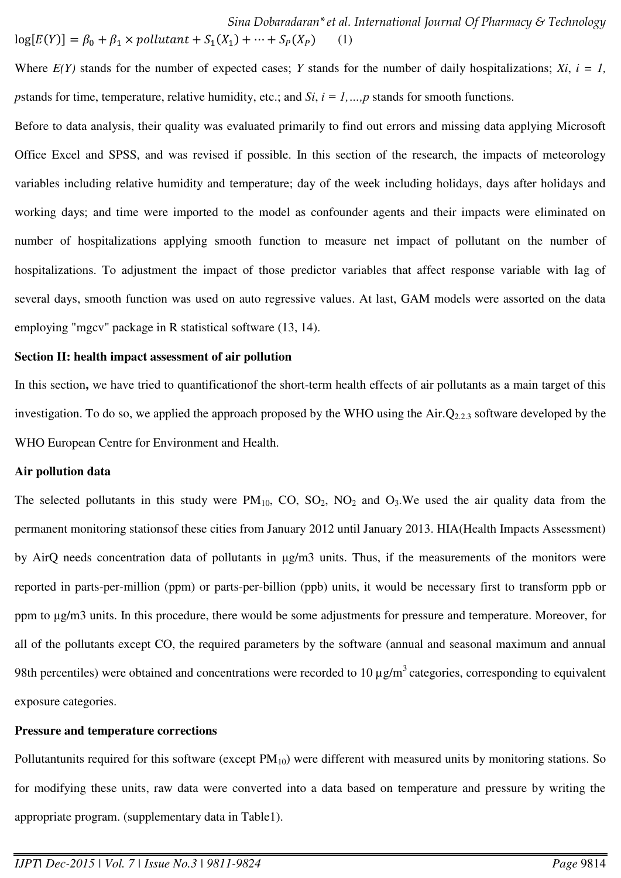*Sina Dobaradaran\*et al. International Journal Of Pharmacy & Technology*  $log[E(Y)] = \beta_0 + \beta_1 \times pollutant + S_1(X_1) + \cdots + S_P(X_P)$  (1)

Where  $E(Y)$  stands for the number of expected cases; *Y* stands for the number of daily hospitalizations; *Xi*,  $i = 1$ , *p*stands for time, temperature, relative humidity, etc.; and *Si*,  $i = 1, ..., p$  stands for smooth functions.

Before to data analysis, their quality was evaluated primarily to find out errors and missing data applying Microsoft Office Excel and SPSS, and was revised if possible. In this section of the research, the impacts of meteorology variables including relative humidity and temperature; day of the week including holidays, days after holidays and working days; and time were imported to the model as confounder agents and their impacts were eliminated on number of hospitalizations applying smooth function to measure net impact of pollutant on the number of hospitalizations. To adjustment the impact of those predictor variables that affect response variable with lag of several days, smooth function was used on auto regressive values. At last, GAM models were assorted on the data employing "mgcv" package in R statistical software (13, 14).

#### **Section II: health impact assessment of air pollution**

In this section, we have tried to quantification of the short-term health effects of air pollutants as a main target of this investigation. To do so, we applied the approach proposed by the WHO using the  $Air.Q_{2.2.3}$  software developed by the WHO European Centre for Environment and Health.

#### **Air pollution data**

The selected pollutants in this study were  $PM_{10}$ ,  $CO$ ,  $SO_2$ ,  $NO_2$  and  $O_3$ . We used the air quality data from the permanent monitoring stationsof these cities from January 2012 until January 2013. HIA(Health Impacts Assessment) by AirQ needs concentration data of pollutants in μg/m3 units. Thus, if the measurements of the monitors were reported in parts-per-million (ppm) or parts-per-billion (ppb) units, it would be necessary first to transform ppb or ppm to μg/m3 units. In this procedure, there would be some adjustments for pressure and temperature. Moreover, for all of the pollutants except CO, the required parameters by the software (annual and seasonal maximum and annual 98th percentiles) were obtained and concentrations were recorded to 10  $\mu$ g/m<sup>3</sup> categories, corresponding to equivalent exposure categories.

#### **Pressure and temperature corrections**

Pollutantunits required for this software (except  $PM_{10}$ ) were different with measured units by monitoring stations. So for modifying these units, raw data were converted into a data based on temperature and pressure by writing the appropriate program. (supplementary data in Table1).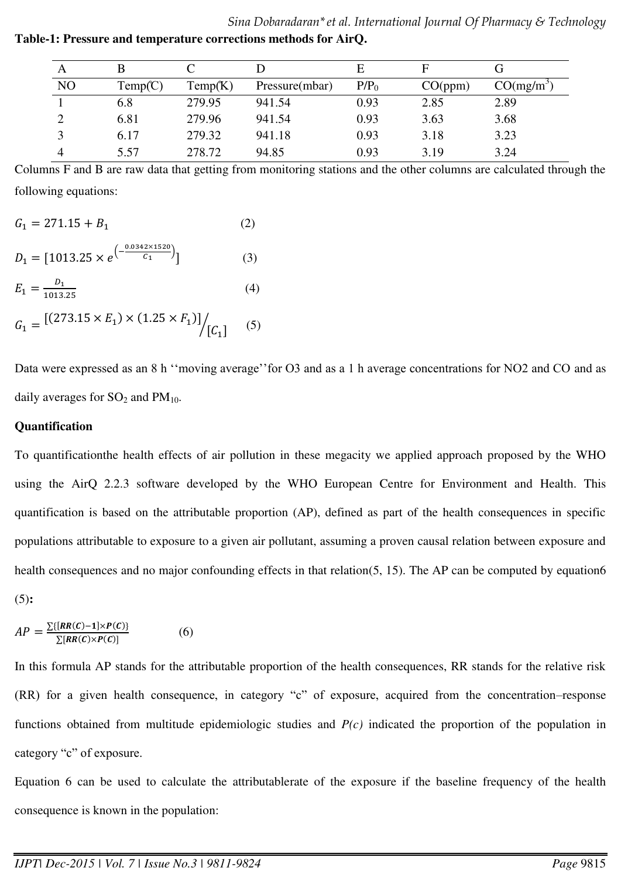|                |         |         |                |         | E       |              |
|----------------|---------|---------|----------------|---------|---------|--------------|
| N <sub>O</sub> | Temp(C) | Temp(K) | Pressure(mbar) | $P/P_0$ | CO(ppm) | $CO(mg/m^3)$ |
|                | 6.8     | 279.95  | 941.54         | 0.93    | 2.85    | 2.89         |
|                | 6.81    | 279.96  | 941.54         | 0.93    | 3.63    | 3.68         |
|                | 6.17    | 279.32  | 941.18         | 0.93    | 3.18    | 3.23         |
|                | 5.57    | 278.72  | 94.85          | 0.93    | 3.19    | 3.24         |

*Sina Dobaradaran\*et al. International Journal Of Pharmacy & Technology* **Table-1: Pressure and temperature corrections methods for AirQ.**

Columns F and B are raw data that getting from monitoring stations and the other columns are calculated through the following equations:

$$
G_1 = 271.15 + B_1
$$
 (2)  
\n
$$
D_1 = [1013.25 \times e^{-\frac{0.0342 \times 1520}{C_1}}]
$$
 (3)  
\n
$$
E_1 = \frac{D_1}{1013.25}
$$
 (4)  
\n
$$
G_1 = \frac{[(273.15 \times E_1) \times (1.25 \times F_1)]}{[C_1]}
$$
 (5)

Data were expressed as an 8 h "moving average" for O3 and as a 1 h average concentrations for NO2 and CO and as daily averages for  $SO_2$  and  $PM_{10}$ .

#### **Quantification**

To quantificationthe health effects of air pollution in these megacity we applied approach proposed by the WHO using the AirQ 2.2.3 software developed by the WHO European Centre for Environment and Health. This quantification is based on the attributable proportion (AP), defined as part of the health consequences in specific populations attributable to exposure to a given air pollutant, assuming a proven causal relation between exposure and health consequences and no major confounding effects in that relation(5, 15). The AP can be computed by equation6 (5)**:** 

$$
AP = \frac{\sum \{[RR(C)-1] \times P(C)\}}{\sum [RR(C) \times P(C)]}
$$
 (6)

In this formula AP stands for the attributable proportion of the health consequences, RR stands for the relative risk (RR) for a given health consequence, in category "c" of exposure, acquired from the concentration–response functions obtained from multitude epidemiologic studies and *P(c)* indicated the proportion of the population in category "c" of exposure.

Equation 6 can be used to calculate the attributablerate of the exposure if the baseline frequency of the health consequence is known in the population: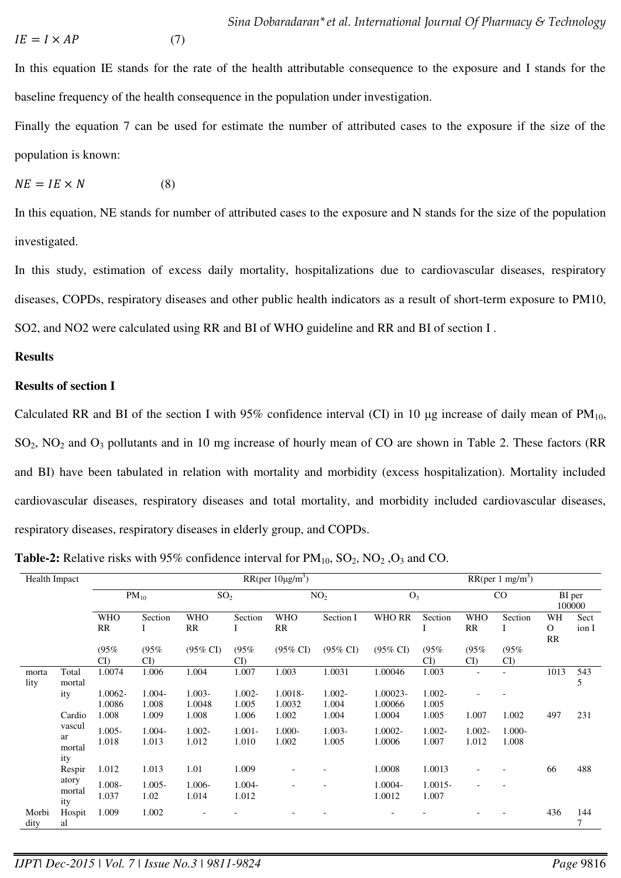$$
IE = I \times AP \tag{7}
$$

In this equation IE stands for the rate of the health attributable consequence to the exposure and I stands for the baseline frequency of the health consequence in the population under investigation.

Finally the equation 7 can be used for estimate the number of attributed cases to the exposure if the size of the population is known:

$$
NE = IE \times N \tag{8}
$$

In this equation, NE stands for number of attributed cases to the exposure and N stands for the size of the population investigated.

In this study, estimation of excess daily mortality, hospitalizations due to cardiovascular diseases, respiratory diseases, COPDs, respiratory diseases and other public health indicators as a result of short-term exposure to PM10, SO2, and NO2 were calculated using RR and BI of WHO guideline and RR and BI of section I .

#### **Results**

### **Results of section I**

Calculated RR and BI of the section I with 95% confidence interval (CI) in 10  $\mu$ g increase of daily mean of PM<sub>10</sub>, SO2, NO2 and O3 pollutants and in 10 mg increase of hourly mean of CO are shown in Table 2. These factors (RR and BI) have been tabulated in relation with mortality and morbidity (excess hospitalization). Mortality included cardiovascular diseases, respiratory diseases and total mortality, and morbidity included cardiovascular diseases, respiratory diseases, respiratory diseases in elderly group, and COPDs.

**Table-2:** Relative risks with 95% confidence interval for  $PM_{10}$ ,  $SO_2$ ,  $NO_2$ ,  $O_3$  and CO.

| <b>Health Impact</b> |                        | RR(per $10\mu\text{g/m}^3$ ) |                    |                     |                    |                          |                     |                     | RR(per 1 mg/m <sup>3</sup> ) |                          |                    |                                 |               |  |
|----------------------|------------------------|------------------------------|--------------------|---------------------|--------------------|--------------------------|---------------------|---------------------|------------------------------|--------------------------|--------------------|---------------------------------|---------------|--|
|                      |                        | $PM_{10}$                    |                    | SO <sub>2</sub>     |                    | NO <sub>2</sub>          |                     | $O_3$               |                              | $\rm CO$                 |                    | BI per<br>100000                |               |  |
|                      |                        | <b>WHO</b><br><b>RR</b>      | Section            | <b>WHO</b><br>RR    | Section            | <b>WHO</b><br>RR         | Section I           | <b>WHO RR</b>       | Section                      | <b>WHO</b><br>RR         | Section<br>I       | WH<br>$\mathbf{O}$<br><b>RR</b> | Sect<br>ion I |  |
|                      |                        | (95%<br>$\mathbf{C}$         | (95%<br>CI         | $(95\% \text{ CI})$ | (95%<br>CI         | $(95\% \text{ CI})$      | $(95\% \text{ CI})$ | $(95\% \text{ CI})$ | (95%<br>CI                   | (95%<br>$\mathbf{C}$ I   | (95%<br>CI         |                                 |               |  |
| morta<br>lity        | Total<br>mortal        | 1.0074                       | 1.006              | 1.004               | 1.007              | 1.003                    | 1.0031              | 1.00046             | 1.003                        | $\overline{\phantom{a}}$ |                    | 1013                            | 543<br>5      |  |
|                      | ity                    | 1.0062-<br>1.0086            | 1.004-<br>1.008    | $1.003 -$<br>1.0048 | $1.002 -$<br>1.005 | 1.0018-<br>1.0032        | 1.002-<br>1.004     | 1.00023-<br>1.00066 | $1.002 -$<br>1.005           |                          |                    |                                 |               |  |
|                      | Cardio                 | 1.008                        | 1.009              | 1.008               | 1.006              | 1.002                    | 1.004               | 1.0004              | 1.005                        | 1.007                    | 1.002              | 497                             | 231           |  |
|                      | vascul<br>ar<br>mortal | $1.005 -$<br>1.018           | $1.004 -$<br>1.013 | $1.002 -$<br>1.012  | $1.001 -$<br>1.010 | $1.000 -$<br>1.002       | $1.003 -$<br>1.005  | 1.0002-<br>1.0006   | $1.002 -$<br>1.007           | $1.002 -$<br>1.012       | $1.000 -$<br>1.008 |                                 |               |  |
|                      | ity<br>Respir          | 1.012                        | 1.013              | 1.01                | 1.009              |                          |                     | 1.0008              | 1.0013                       |                          |                    | 66                              | 488           |  |
|                      | atory<br>mortal<br>ity | 1.008-<br>1.037              | $1.005 -$<br>1.02  | $1.006 -$<br>1.014  | $1.004 -$<br>1.012 | $\overline{\phantom{a}}$ |                     | 1.0004-<br>1.0012   | $1.0015 -$<br>1.007          | $\overline{\phantom{a}}$ |                    |                                 |               |  |
| Morbi<br>dity        | Hospit<br>al           | 1.009                        | 1.002              |                     |                    |                          |                     |                     |                              |                          |                    | 436                             | 144<br>7      |  |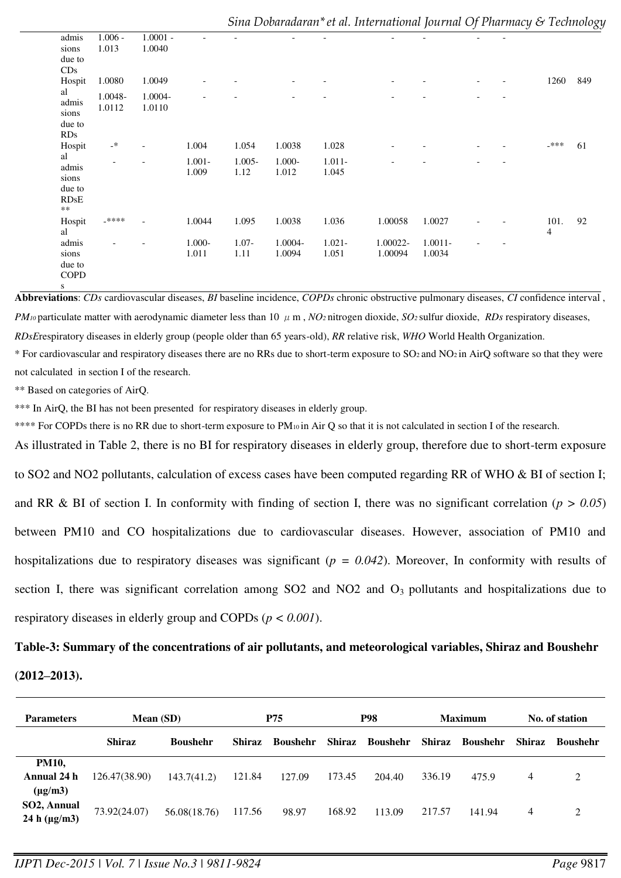| $1.006 -$<br>1.013<br>1.0080 | $1.0001 -$<br>1.0040 |                    |                   |                    |                    |                     |                      |  |      |     |
|------------------------------|----------------------|--------------------|-------------------|--------------------|--------------------|---------------------|----------------------|--|------|-----|
|                              |                      |                    |                   |                    |                    |                     |                      |  |      |     |
|                              |                      |                    |                   |                    |                    |                     |                      |  |      |     |
|                              | 1.0049               |                    |                   |                    |                    |                     |                      |  | 1260 | 849 |
| 1.0048-<br>1.0112            | 1.0004-<br>1.0110    |                    |                   |                    |                    |                     |                      |  |      |     |
|                              |                      |                    |                   |                    |                    |                     |                      |  |      |     |
| $\cdot^*$                    |                      | 1.004              | 1.054             | 1.0038             | 1.028              |                     |                      |  | _*** | 61  |
|                              |                      | $1.001 -$<br>1.009 | $1.005 -$<br>1.12 | $1.000 -$<br>1.012 | $1.011 -$<br>1.045 |                     |                      |  |      |     |
| _****                        |                      | 1.0044             | 1.095             | 1.0038             | 1.036              | 1.00058             | 1.0027               |  | 101. | 92  |
|                              |                      | 1.000-<br>1.011    | $1.07 -$<br>1.11  | 1.0004-<br>1.0094  | $1.021 -$<br>1.051 | 1.00022-<br>1.00094 | $1.0011 -$<br>1.0034 |  |      |     |
|                              |                      |                    |                   |                    |                    |                     |                      |  |      | 4   |

**Abbreviations**: *CDs* cardiovascular diseases, *BI* baseline incidence, *COPDs* chronic obstructive pulmonary diseases, *CI* confidence interval , *PM*<sup>10</sup> particulate matter with aerodynamic diameter less than 10  $\mu$  m, *NO*<sup>2</sup> nitrogen dioxide, *SO*<sup>2</sup> sulfur dioxide, *RDs* respiratory diseases, *RDsE*respiratory diseases in elderly group (people older than 65 years-old), *RR* relative risk, *WHO* World Health Organization.

\* For cardiovascular and respiratory diseases there are no RRs due to short-term exposure to SO2 and NO2 in AirQ software so that they were not calculated in section I of the research.

\*\* Based on categories of AirQ.

\*\*\* In AirO, the BI has not been presented for respiratory diseases in elderly group.

\*\*\*\* For COPDs there is no RR due to short-term exposure to PM<sub>10</sub> in Air Q so that it is not calculated in section I of the research.

As illustrated in Table 2, there is no BI for respiratory diseases in elderly group, therefore due to short-term exposure to SO2 and NO2 pollutants, calculation of excess cases have been computed regarding RR of WHO & BI of section I; and RR & BI of section I. In conformity with finding of section I, there was no significant correlation ( $p > 0.05$ ) between PM10 and CO hospitalizations due to cardiovascular diseases. However, association of PM10 and hospitalizations due to respiratory diseases was significant (*p = 0.042*). Moreover, In conformity with results of section I, there was significant correlation among SO2 and NO2 and O<sub>3</sub> pollutants and hospitalizations due to respiratory diseases in elderly group and COPDs (*p < 0.001*).

#### **Table-3: Summary of the concentrations of air pollutants, and meteorological variables, Shiraz and Boushehr**

**(2012–2013).**

| <b>Parameters</b>                           | Mean (SD)     |                 | <b>P75</b>    |                 | P98    |                 | <b>Maximum</b> |                 | No. of station |                 |
|---------------------------------------------|---------------|-----------------|---------------|-----------------|--------|-----------------|----------------|-----------------|----------------|-----------------|
|                                             | <b>Shiraz</b> | <b>Boushehr</b> | <b>Shiraz</b> | <b>Boushehr</b> | Shiraz | <b>Boushehr</b> | Shiraz         | <b>Boushehr</b> | Shiraz         | <b>Boushehr</b> |
| <b>PM10,</b><br>Annual 24 h<br>$(\mu g/m3)$ | 126.47(38.90) | 143.7(41.2)     | 121.84        | 127.09          | 173.45 | 204.40          | 336.19         | 475.9           | 4              | 2               |
| SO2, Annual<br>24 h $(\mu g/m3)$            | 73.92(24.07)  | 56.08(18.76)    | 117.56        | 98.97           | 168.92 | 113.09          | 217.57         | 141.94          | 4              | 2               |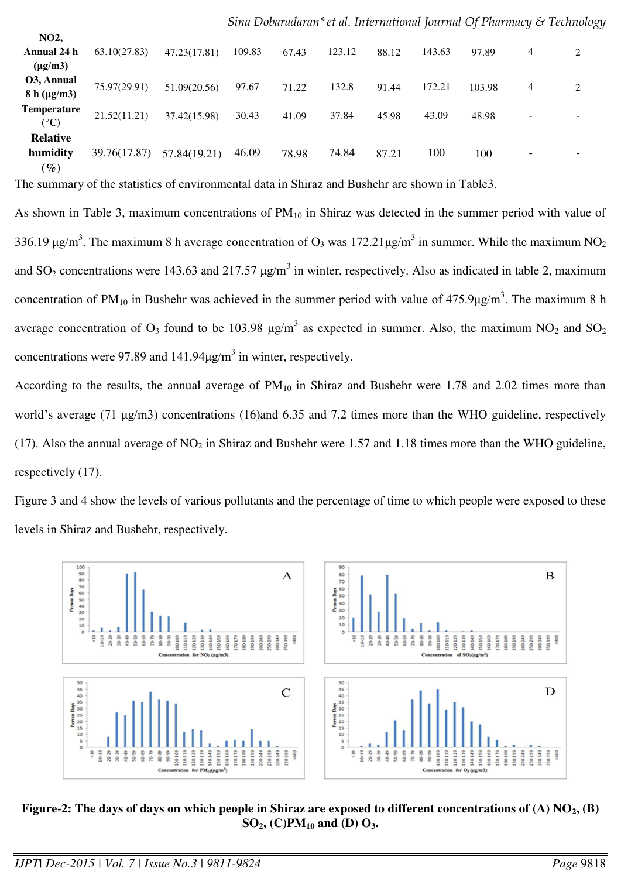| NO <sub>2</sub> ,               |              |              |        |       |        |       |        |        |                          |   |
|---------------------------------|--------------|--------------|--------|-------|--------|-------|--------|--------|--------------------------|---|
| Annual 24 h                     | 63.10(27.83) | 47.23(17.81) | 109.83 | 67.43 | 123.12 | 88.12 | 143.63 | 97.89  | 4                        | 2 |
| $(\mu g/m3)$                    |              |              |        |       |        |       |        |        |                          |   |
| O3, Annual                      | 75.97(29.91) | 51.09(20.56) | 97.67  | 71.22 | 132.8  | 91.44 | 172.21 | 103.98 | 4                        | 2 |
| $8 h (\mu g/m3)$                |              |              |        |       |        |       |        |        |                          |   |
| <b>Temperature</b>              | 21.52(11.21) | 37.42(15.98) | 30.43  | 41.09 | 37.84  | 45.98 | 43.09  | 48.98  | $\overline{\phantom{0}}$ |   |
| $({}^{\circ}C)$                 |              |              |        |       |        |       |        |        |                          |   |
| <b>Relative</b>                 |              |              |        |       |        |       |        |        |                          |   |
| humidity                        | 39.76(17.87) | 57.84(19.21) | 46.09  | 78.98 | 74.84  | 87.21 | 100    | 100    |                          |   |
| $\left( \mathscr{G}_{o}\right)$ |              |              |        |       |        |       |        |        |                          |   |

*Sina Dobaradaran\*et al. International Journal Of Pharmacy & Technology*

The summary of the statistics of environmental data in Shiraz and Bushehr are shown in Table3.

As shown in Table 3, maximum concentrations of  $PM_{10}$  in Shiraz was detected in the summer period with value of 336.19  $\mu$ g/m<sup>3</sup>. The maximum 8 h average concentration of O<sub>3</sub> was 172.21 $\mu$ g/m<sup>3</sup> in summer. While the maximum NO<sub>2</sub> and SO<sub>2</sub> concentrations were 143.63 and 217.57  $\mu$ g/m<sup>3</sup> in winter, respectively. Also as indicated in table 2, maximum concentration of PM<sub>10</sub> in Bushehr was achieved in the summer period with value of  $475.9 \mu g/m<sup>3</sup>$ . The maximum 8 h average concentration of  $O_3$  found to be 103.98  $\mu$ g/m<sup>3</sup> as expected in summer. Also, the maximum NO<sub>2</sub> and SO<sub>2</sub> concentrations were 97.89 and  $141.94 \mu g/m<sup>3</sup>$  in winter, respectively.

According to the results, the annual average of  $PM_{10}$  in Shiraz and Bushehr were 1.78 and 2.02 times more than world's average (71 μg/m3) concentrations (16)and 6.35 and 7.2 times more than the WHO guideline, respectively (17). Also the annual average of  $NO<sub>2</sub>$  in Shiraz and Bushehr were 1.57 and 1.18 times more than the WHO guideline, respectively (17).

Figure 3 and 4 show the levels of various pollutants and the percentage of time to which people were exposed to these levels in Shiraz and Bushehr, respectively.



**Figure-2: The days of days on which people in Shiraz are exposed to different concentrations of (A) NO2, (B) SO2, (C)PM10 and (D) O3.**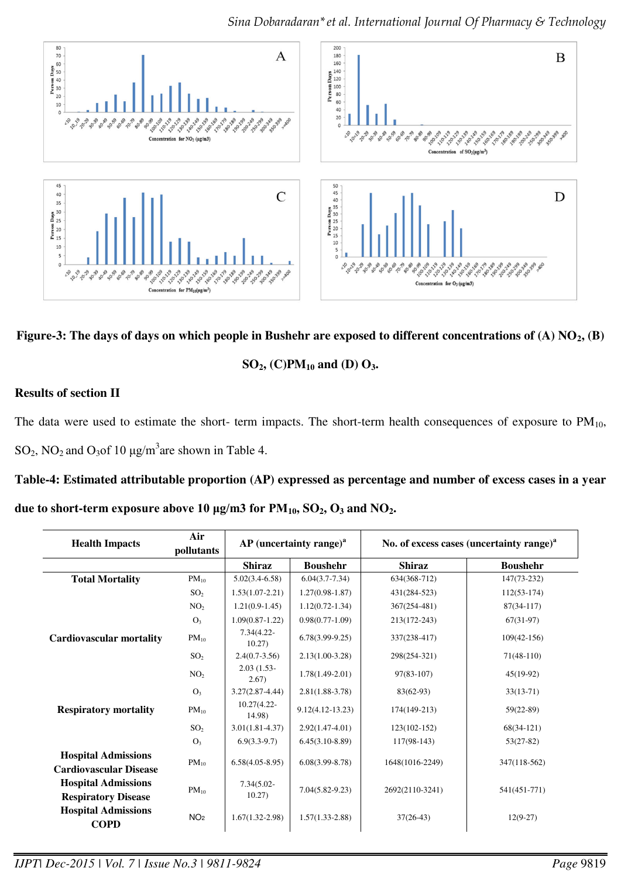

**Figure-3: The days of days on which people in Bushehr are exposed to different concentrations of (A) NO2, (B)** 

## **SO2, (C)PM10 and (D) O3.**

## **Results of section II**

The data were used to estimate the short- term impacts. The short-term health consequences of exposure to  $PM_{10}$ , SO<sub>2</sub>, NO<sub>2</sub> and O<sub>3</sub>of 10  $\mu$ g/m<sup>3</sup> are shown in Table 4.

## **Table-4: Estimated attributable proportion (AP) expressed as percentage and number of excess cases in a year**

**due to short-term exposure above 10 μg/m3 for PM10, SO2, O3 and NO2.** 

| <b>Health Impacts</b>                                       | Air<br>pollutants |                         | $AP$ (uncertainty range) <sup>a</sup> | No. of excess cases (uncertainty range) <sup>a</sup> |                 |  |  |
|-------------------------------------------------------------|-------------------|-------------------------|---------------------------------------|------------------------------------------------------|-----------------|--|--|
|                                                             |                   | <b>Shiraz</b>           | <b>Boushehr</b>                       | <b>Shiraz</b>                                        | <b>Boushehr</b> |  |  |
| <b>Total Mortality</b>                                      | $PM_{10}$         | $5.02(3.4-6.58)$        | $6.04(3.7 - 7.34)$                    | 634(368-712)                                         | $147(73-232)$   |  |  |
|                                                             | SO <sub>2</sub>   | $1.53(1.07-2.21)$       | $1.27(0.98-1.87)$                     | 431(284-523)                                         | $112(53-174)$   |  |  |
|                                                             | NO <sub>2</sub>   | $1.21(0.9-1.45)$        | $1.12(0.72 - 1.34)$                   | $367(254 - 481)$                                     | $87(34-117)$    |  |  |
|                                                             | O <sub>3</sub>    | $1.09(0.87-1.22)$       | $0.98(0.77-1.09)$                     | 213(172-243)                                         | $67(31-97)$     |  |  |
| <b>Cardiovascular mortality</b>                             | $PM_{10}$         | $7.34(4.22 -$<br>10.27) | $6.78(3.99-9.25)$                     | 337(238-417)                                         | $109(42-156)$   |  |  |
|                                                             | SO <sub>2</sub>   | $2.4(0.7-3.56)$         | $2.13(1.00-3.28)$                     | 298(254-321)                                         | $71(48-110)$    |  |  |
|                                                             | NO <sub>2</sub>   | $2.03(1.53 -$<br>2.67)  | $1.78(1.49-2.01)$                     | $97(83-107)$                                         | $45(19-92)$     |  |  |
|                                                             | O <sub>3</sub>    | $3.27(2.87 - 4.44)$     | $2.81(1.88-3.78)$                     | $83(62-93)$                                          | $33(13-71)$     |  |  |
| <b>Respiratory mortality</b>                                | $PM_{10}$         | 10.27(4.22-<br>14.98)   | $9.12(4.12 - 13.23)$                  | 174(149-213)                                         | $59(22-89)$     |  |  |
|                                                             | SO <sub>2</sub>   | $3.01(1.81 - 4.37)$     | $2.92(1.47-4.01)$                     | $123(102-152)$                                       | $68(34-121)$    |  |  |
|                                                             | $O_3$             | $6.9(3.3-9.7)$          | $6.45(3.10-8.89)$                     | $117(98-143)$                                        | $53(27-82)$     |  |  |
| <b>Hospital Admissions</b><br><b>Cardiovascular Disease</b> | $PM_{10}$         | $6.58(4.05-8.95)$       | $6.08(3.99 - 8.78)$                   | 1648(1016-2249)                                      | 347(118-562)    |  |  |
| <b>Hospital Admissions</b><br><b>Respiratory Disease</b>    | $PM_{10}$         | $7.34(5.02 -$<br>10.27) | $7.04(5.82 - 9.23)$                   | 2692(2110-3241)                                      | 541(451-771)    |  |  |
| <b>Hospital Admissions</b><br><b>COPD</b>                   | NO <sub>2</sub>   | $1.67(1.32 - 2.98)$     | $1.57(1.33 - 2.88)$                   | $37(26-43)$                                          | $12(9-27)$      |  |  |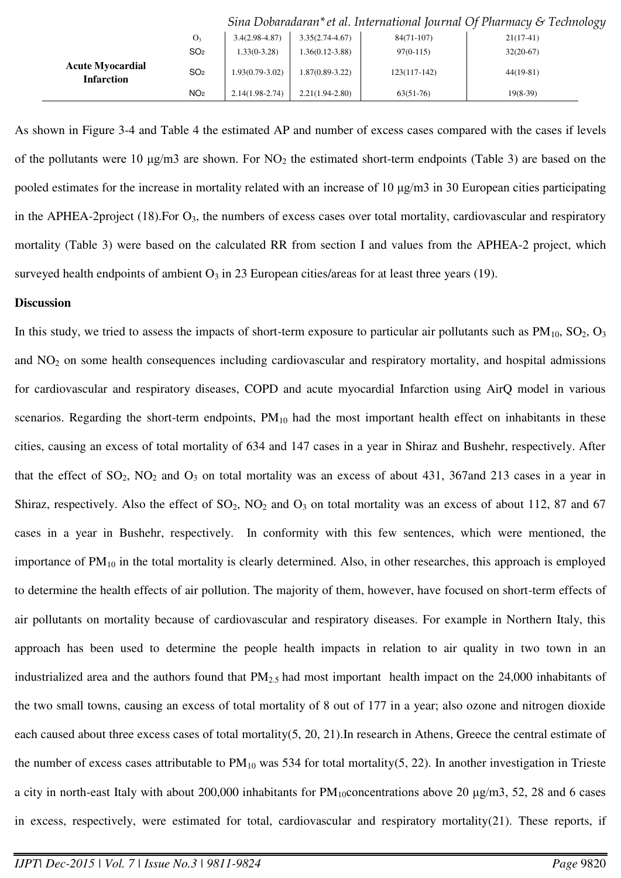|                                              |                 |                   |                     |                | Sina Dovanaanni et al. International journal Of Fharmacy & Technology |
|----------------------------------------------|-----------------|-------------------|---------------------|----------------|-----------------------------------------------------------------------|
|                                              | O <sub>3</sub>  | $3.4(2.98-4.87)$  | $3.35(2.74 - 4.67)$ | $84(71-107)$   | $21(17-41)$                                                           |
|                                              | SO <sub>2</sub> | $1.33(0-3.28)$    | 1.36(0.12-3.88)     | $97(0-115)$    | $32(20-67)$                                                           |
| <b>Acute Myocardial</b><br><b>Infarction</b> | SO <sub>2</sub> | $1.93(0.79-3.02)$ | $1.87(0.89-3.22)$   | $123(117-142)$ | $44(19-81)$                                                           |
|                                              | NO <sub>2</sub> | $2.14(1.98-2.74)$ | $2.21(1.94-2.80)$   | $63(51-76)$    | $19(8-39)$                                                            |

*Sina Dobaradaran\*et al. International Journal Of Pharmacy & Technology*

As shown in Figure 3-4 and Table 4 the estimated AP and number of excess cases compared with the cases if levels of the pollutants were 10  $\mu$ g/m3 are shown. For NO<sub>2</sub> the estimated short-term endpoints (Table 3) are based on the pooled estimates for the increase in mortality related with an increase of 10 μg/m3 in 30 European cities participating in the APHEA-2project  $(18)$ . For  $O_3$ , the numbers of excess cases over total mortality, cardiovascular and respiratory mortality (Table 3) were based on the calculated RR from section I and values from the APHEA-2 project, which surveyed health endpoints of ambient  $O_3$  in 23 European cities/areas for at least three years (19).

#### **Discussion**

In this study, we tried to assess the impacts of short-term exposure to particular air pollutants such as  $PM_{10}$ ,  $SO_2$ ,  $O_3$ and  $NO<sub>2</sub>$  on some health consequences including cardiovascular and respiratory mortality, and hospital admissions for cardiovascular and respiratory diseases, COPD and acute myocardial Infarction using AirQ model in various scenarios. Regarding the short-term endpoints,  $PM_{10}$  had the most important health effect on inhabitants in these cities, causing an excess of total mortality of 634 and 147 cases in a year in Shiraz and Bushehr, respectively. After that the effect of  $SO_2$ ,  $NO_2$  and  $O_3$  on total mortality was an excess of about 431, 367and 213 cases in a year in Shiraz, respectively. Also the effect of  $SO_2$ ,  $NO_2$  and  $O_3$  on total mortality was an excess of about 112, 87 and 67 cases in a year in Bushehr, respectively. In conformity with this few sentences, which were mentioned, the importance of  $PM_{10}$  in the total mortality is clearly determined. Also, in other researches, this approach is employed to determine the health effects of air pollution. The majority of them, however, have focused on short-term effects of air pollutants on mortality because of cardiovascular and respiratory diseases. For example in Northern Italy, this approach has been used to determine the people health impacts in relation to air quality in two town in an industrialized area and the authors found that PM2.5 had most important health impact on the 24,000 inhabitants of the two small towns, causing an excess of total mortality of 8 out of 177 in a year; also ozone and nitrogen dioxide each caused about three excess cases of total mortality(5, 20, 21).In research in Athens, Greece the central estimate of the number of excess cases attributable to  $PM_{10}$  was 534 for total mortality(5, 22). In another investigation in Trieste a city in north-east Italy with about 200,000 inhabitants for  $PM_{10}$ concentrations above 20  $\mu$ g/m3, 52, 28 and 6 cases in excess, respectively, were estimated for total, cardiovascular and respiratory mortality(21). These reports, if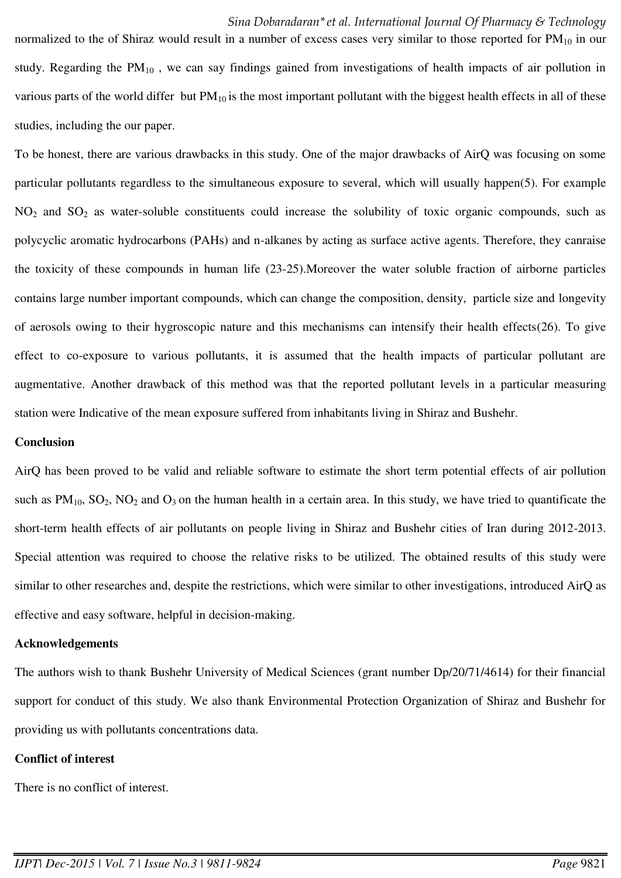normalized to the of Shiraz would result in a number of excess cases very similar to those reported for  $PM_{10}$  in our study. Regarding the  $PM_{10}$ , we can say findings gained from investigations of health impacts of air pollution in various parts of the world differ but  $PM_{10}$  is the most important pollutant with the biggest health effects in all of these studies, including the our paper.

To be honest, there are various drawbacks in this study. One of the major drawbacks of AirQ was focusing on some particular pollutants regardless to the simultaneous exposure to several, which will usually happen(5). For example  $NO<sub>2</sub>$  and  $SO<sub>2</sub>$  as water-soluble constituents could increase the solubility of toxic organic compounds, such as polycyclic aromatic hydrocarbons (PAHs) and n-alkanes by acting as surface active agents. Therefore, they canraise the toxicity of these compounds in human life (23-25).Moreover the water soluble fraction of airborne particles contains large number important compounds, which can change the composition, density, particle size and longevity of aerosols owing to their hygroscopic nature and this mechanisms can intensify their health effects(26). To give effect to co-exposure to various pollutants, it is assumed that the health impacts of particular pollutant are augmentative. Another drawback of this method was that the reported pollutant levels in a particular measuring station were Indicative of the mean exposure suffered from inhabitants living in Shiraz and Bushehr.

#### **Conclusion**

AirQ has been proved to be valid and reliable software to estimate the short term potential effects of air pollution such as  $PM_{10}$ ,  $SO_2$ ,  $NO_2$  and  $O_3$  on the human health in a certain area. In this study, we have tried to quantificate the short-term health effects of air pollutants on people living in Shiraz and Bushehr cities of Iran during 2012-2013. Special attention was required to choose the relative risks to be utilized. The obtained results of this study were similar to other researches and, despite the restrictions, which were similar to other investigations, introduced AirQ as effective and easy software, helpful in decision-making.

#### **Acknowledgements**

The authors wish to thank Bushehr University of Medical Sciences (grant number Dp/20/71/4614) for their financial support for conduct of this study. We also thank Environmental Protection Organization of Shiraz and Bushehr for providing us with pollutants concentrations data.

### **Conflict of interest**

There is no conflict of interest.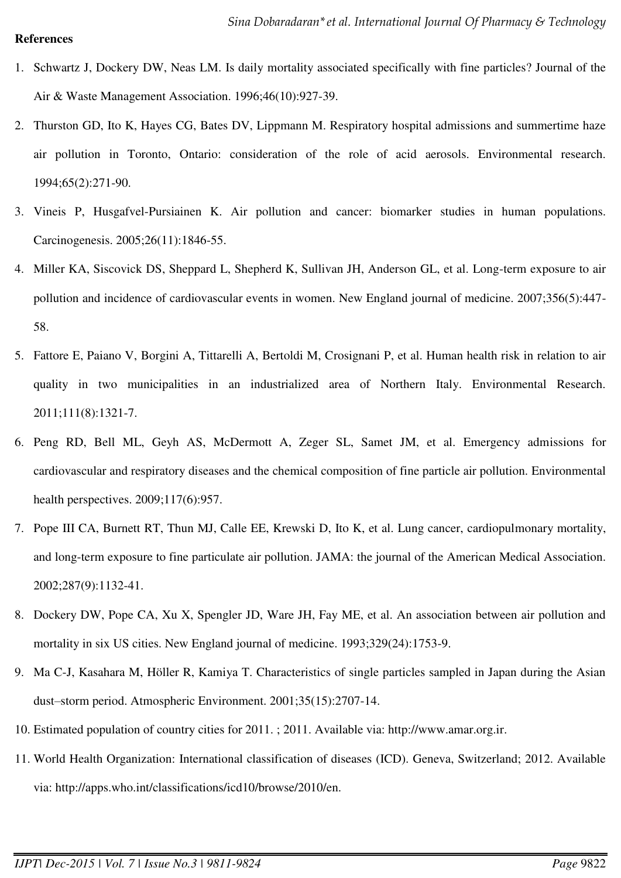### **References**

- 1. Schwartz J, Dockery DW, Neas LM. Is daily mortality associated specifically with fine particles? Journal of the Air & Waste Management Association. 1996;46(10):927-39.
- 2. Thurston GD, Ito K, Hayes CG, Bates DV, Lippmann M. Respiratory hospital admissions and summertime haze air pollution in Toronto, Ontario: consideration of the role of acid aerosols. Environmental research. 1994;65(2):271-90.
- 3. Vineis P, Husgafvel-Pursiainen K. Air pollution and cancer: biomarker studies in human populations. Carcinogenesis. 2005;26(11):1846-55.
- 4. Miller KA, Siscovick DS, Sheppard L, Shepherd K, Sullivan JH, Anderson GL, et al. Long-term exposure to air pollution and incidence of cardiovascular events in women. New England journal of medicine. 2007;356(5):447- 58.
- 5. Fattore E, Paiano V, Borgini A, Tittarelli A, Bertoldi M, Crosignani P, et al. Human health risk in relation to air quality in two municipalities in an industrialized area of Northern Italy. Environmental Research. 2011;111(8):1321-7.
- 6. Peng RD, Bell ML, Geyh AS, McDermott A, Zeger SL, Samet JM, et al. Emergency admissions for cardiovascular and respiratory diseases and the chemical composition of fine particle air pollution. Environmental health perspectives. 2009;117(6):957.
- 7. Pope III CA, Burnett RT, Thun MJ, Calle EE, Krewski D, Ito K, et al. Lung cancer, cardiopulmonary mortality, and long-term exposure to fine particulate air pollution. JAMA: the journal of the American Medical Association. 2002;287(9):1132-41.
- 8. Dockery DW, Pope CA, Xu X, Spengler JD, Ware JH, Fay ME, et al. An association between air pollution and mortality in six US cities. New England journal of medicine. 1993;329(24):1753-9.
- 9. Ma C-J, Kasahara M, Höller R, Kamiya T. Characteristics of single particles sampled in Japan during the Asian dust–storm period. Atmospheric Environment. 2001;35(15):2707-14.
- 10. Estimated population of country cities for 2011. ; 2011. Available via: http://www.amar.org.ir.
- 11. World Health Organization: International classification of diseases (ICD). Geneva, Switzerland; 2012. Available via: http://apps.who.int/classifications/icd10/browse/2010/en.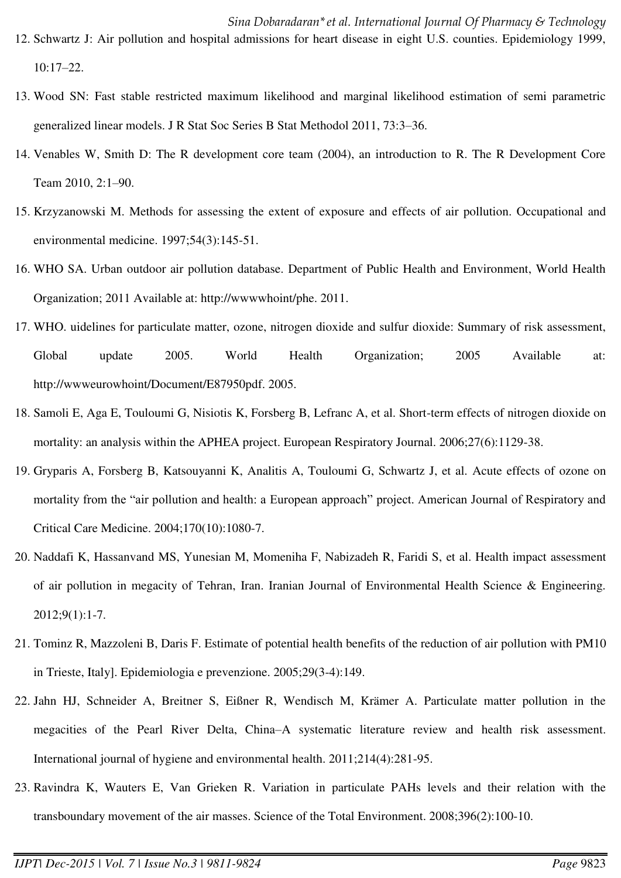- 13. Wood SN: Fast stable restricted maximum likelihood and marginal likelihood estimation of semi parametric generalized linear models. J R Stat Soc Series B Stat Methodol 2011, 73:3–36.
- 14. Venables W, Smith D: The R development core team (2004), an introduction to R. The R Development Core Team 2010, 2:1–90.
- 15. Krzyzanowski M. Methods for assessing the extent of exposure and effects of air pollution. Occupational and environmental medicine. 1997;54(3):145-51.
- 16. WHO SA. Urban outdoor air pollution database. Department of Public Health and Environment, World Health Organization; 2011 Available at: http://wwwwhoint/phe. 2011.
- 17. WHO. uidelines for particulate matter, ozone, nitrogen dioxide and sulfur dioxide: Summary of risk assessment, Global update 2005. World Health Organization; 2005 Available at: http://wwweurowhoint/Document/E87950pdf. 2005.
- 18. Samoli E, Aga E, Touloumi G, Nisiotis K, Forsberg B, Lefranc A, et al. Short-term effects of nitrogen dioxide on mortality: an analysis within the APHEA project. European Respiratory Journal. 2006;27(6):1129-38.
- 19. Gryparis A, Forsberg B, Katsouyanni K, Analitis A, Touloumi G, Schwartz J, et al. Acute effects of ozone on mortality from the "air pollution and health: a European approach" project. American Journal of Respiratory and Critical Care Medicine. 2004;170(10):1080-7.
- 20. Naddafi K, Hassanvand MS, Yunesian M, Momeniha F, Nabizadeh R, Faridi S, et al. Health impact assessment of air pollution in megacity of Tehran, Iran. Iranian Journal of Environmental Health Science & Engineering. 2012;9(1):1-7.
- 21. Tominz R, Mazzoleni B, Daris F. Estimate of potential health benefits of the reduction of air pollution with PM10 in Trieste, Italy]. Epidemiologia e prevenzione. 2005;29(3-4):149.
- 22. Jahn HJ, Schneider A, Breitner S, Eißner R, Wendisch M, Krämer A. Particulate matter pollution in the megacities of the Pearl River Delta, China–A systematic literature review and health risk assessment. International journal of hygiene and environmental health. 2011;214(4):281-95.
- 23. Ravindra K, Wauters E, Van Grieken R. Variation in particulate PAHs levels and their relation with the transboundary movement of the air masses. Science of the Total Environment. 2008;396(2):100-10.